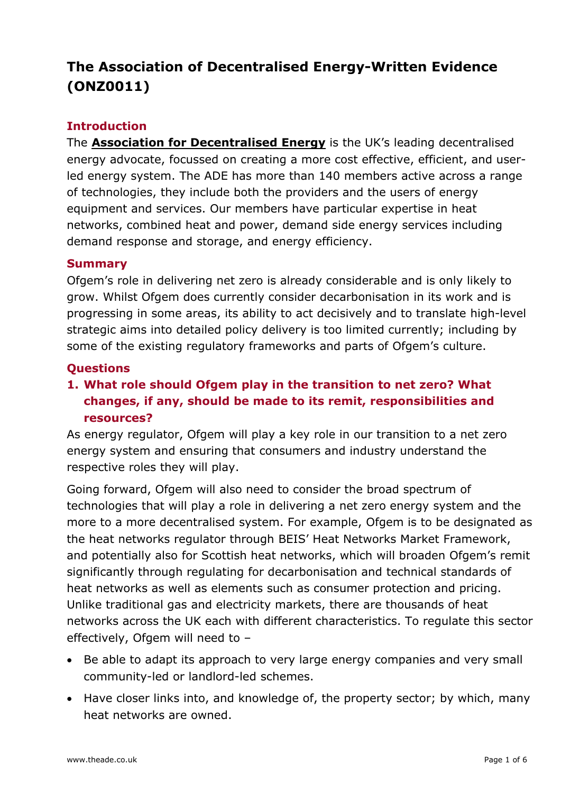# **The Association of Decentralised Energy-Written Evidence (ONZ0011)**

#### **Introduction**

The **[Association](https://www.theade.co.uk/) [for](https://www.theade.co.uk/) [Decentralised](https://www.theade.co.uk/) [Energy](https://www.theade.co.uk/)** is the UK's leading decentralised energy advocate, focussed on creating a more cost effective, efficient, and userled energy system. The ADE has more than 140 members active across a range of technologies, they include both the providers and the users of energy equipment and services. Our members have particular expertise in heat networks, combined heat and power, demand side energy services including demand response and storage, and energy efficiency.

#### **Summary**

Ofgem's role in delivering net zero is already considerable and is only likely to grow. Whilst Ofgem does currently consider decarbonisation in its work and is progressing in some areas, its ability to act decisively and to translate high-level strategic aims into detailed policy delivery is too limited currently; including by some of the existing regulatory frameworks and parts of Ofgem's culture.

#### **Questions**

### **1. What role should Ofgem play in the transition to net zero? What changes, if any, should be made to its remit, responsibilities and resources?**

As energy regulator, Ofgem will play a key role in our transition to a net zero energy system and ensuring that consumers and industry understand the respective roles they will play.

Going forward, Ofgem will also need to consider the broad spectrum of technologies that will play a role in delivering a net zero energy system and the more to a more decentralised system. For example, Ofgem is to be designated as the heat networks regulator through BEIS' Heat Networks Market Framework, and potentially also for Scottish heat networks, which will broaden Ofgem's remit significantly through regulating for decarbonisation and technical standards of heat networks as well as elements such as consumer protection and pricing. Unlike traditional gas and electricity markets, there are thousands of heat networks across the UK each with different characteristics. To regulate this sector effectively, Ofgem will need to –

- Be able to adapt its approach to very large energy companies and very small community-led or landlord-led schemes.
- Have closer links into, and knowledge of, the property sector; by which, many heat networks are owned.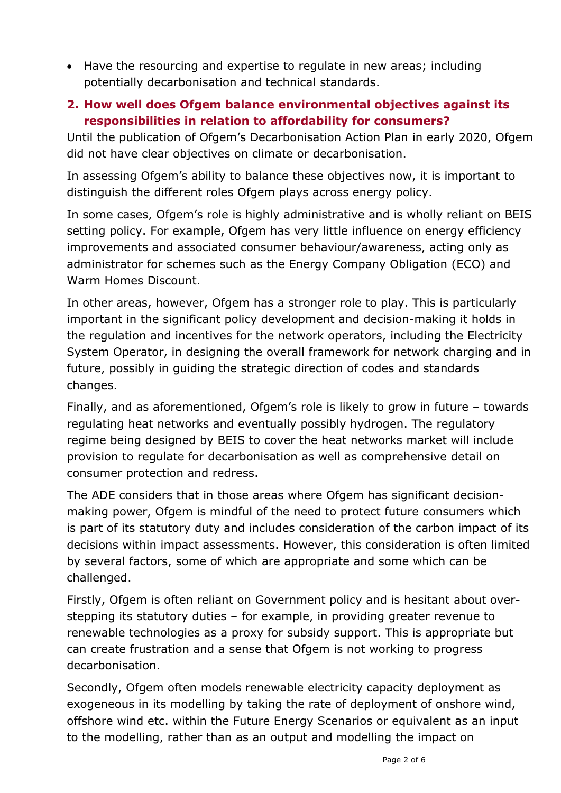• Have the resourcing and expertise to regulate in new areas; including potentially decarbonisation and technical standards.

#### **2. How well does Ofgem balance environmental objectives against its responsibilities in relation to affordability for consumers?**

Until the publication of Ofgem's Decarbonisation Action Plan in early 2020, Ofgem did not have clear objectives on climate or decarbonisation.

In assessing Ofgem's ability to balance these objectives now, it is important to distinguish the different roles Ofgem plays across energy policy.

In some cases, Ofgem's role is highly administrative and is wholly reliant on BEIS setting policy. For example, Ofgem has very little influence on energy efficiency improvements and associated consumer behaviour/awareness, acting only as administrator for schemes such as the Energy Company Obligation (ECO) and Warm Homes Discount.

In other areas, however, Ofgem has a stronger role to play. This is particularly important in the significant policy development and decision-making it holds in the regulation and incentives for the network operators, including the Electricity System Operator, in designing the overall framework for network charging and in future, possibly in guiding the strategic direction of codes and standards changes.

Finally, and as aforementioned, Ofgem's role is likely to grow in future – towards regulating heat networks and eventually possibly hydrogen. The regulatory regime being designed by BEIS to cover the heat networks market will include provision to regulate for decarbonisation as well as comprehensive detail on consumer protection and redress.

The ADE considers that in those areas where Ofgem has significant decisionmaking power, Ofgem is mindful of the need to protect future consumers which is part of its statutory duty and includes consideration of the carbon impact of its decisions within impact assessments. However, this consideration is often limited by several factors, some of which are appropriate and some which can be challenged.

Firstly, Ofgem is often reliant on Government policy and is hesitant about overstepping its statutory duties – for example, in providing greater revenue to renewable technologies as a proxy for subsidy support. This is appropriate but can create frustration and a sense that Ofgem is not working to progress decarbonisation.

Secondly, Ofgem often models renewable electricity capacity deployment as exogeneous in its modelling by taking the rate of deployment of onshore wind, offshore wind etc. within the Future Energy Scenarios or equivalent as an input to the modelling, rather than as an output and modelling the impact on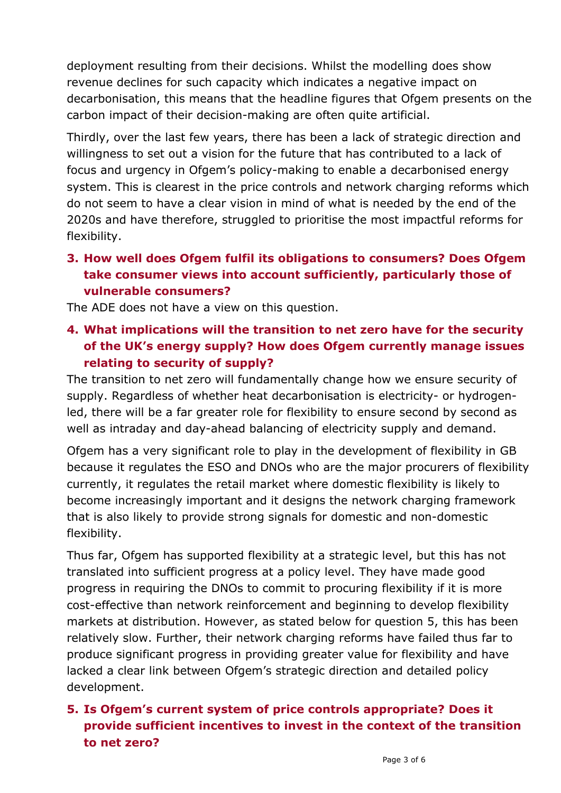deployment resulting from their decisions. Whilst the modelling does show revenue declines for such capacity which indicates a negative impact on decarbonisation, this means that the headline figures that Ofgem presents on the carbon impact of their decision-making are often quite artificial.

Thirdly, over the last few years, there has been a lack of strategic direction and willingness to set out a vision for the future that has contributed to a lack of focus and urgency in Ofgem's policy-making to enable a decarbonised energy system. This is clearest in the price controls and network charging reforms which do not seem to have a clear vision in mind of what is needed by the end of the 2020s and have therefore, struggled to prioritise the most impactful reforms for flexibility.

# **3. How well does Ofgem fulfil its obligations to consumers? Does Ofgem take consumer views into account sufficiently, particularly those of vulnerable consumers?**

The ADE does not have a view on this question.

# **4. What implications will the transition to net zero have for the security of the UK's energy supply? How does Ofgem currently manage issues relating to security of supply?**

The transition to net zero will fundamentally change how we ensure security of supply. Regardless of whether heat decarbonisation is electricity- or hydrogenled, there will be a far greater role for flexibility to ensure second by second as well as intraday and day-ahead balancing of electricity supply and demand.

Ofgem has a very significant role to play in the development of flexibility in GB because it regulates the ESO and DNOs who are the major procurers of flexibility currently, it regulates the retail market where domestic flexibility is likely to become increasingly important and it designs the network charging framework that is also likely to provide strong signals for domestic and non-domestic flexibility.

Thus far, Ofgem has supported flexibility at a strategic level, but this has not translated into sufficient progress at a policy level. They have made good progress in requiring the DNOs to commit to procuring flexibility if it is more cost-effective than network reinforcement and beginning to develop flexibility markets at distribution. However, as stated below for question 5, this has been relatively slow. Further, their network charging reforms have failed thus far to produce significant progress in providing greater value for flexibility and have lacked a clear link between Ofgem's strategic direction and detailed policy development.

### **5. Is Ofgem's current system of price controls appropriate? Does it provide sufficient incentives to invest in the context of the transition to net zero?**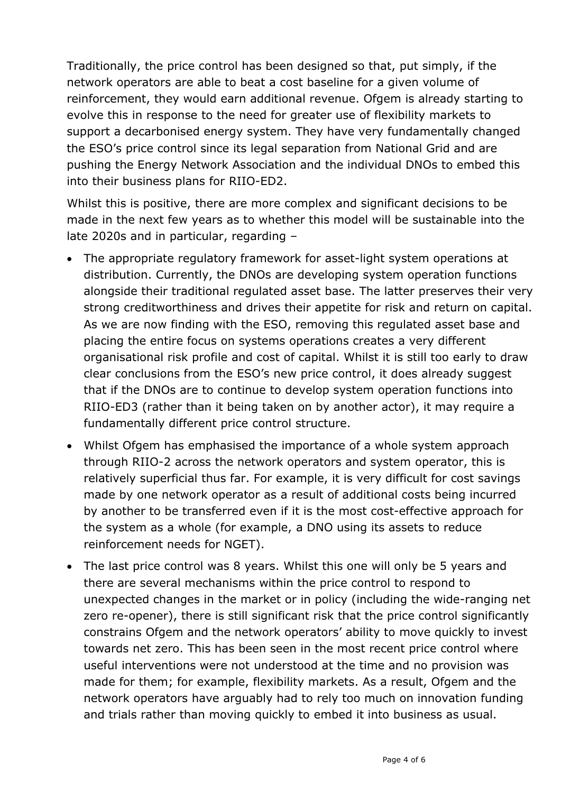Traditionally, the price control has been designed so that, put simply, if the network operators are able to beat a cost baseline for a given volume of reinforcement, they would earn additional revenue. Ofgem is already starting to evolve this in response to the need for greater use of flexibility markets to support a decarbonised energy system. They have very fundamentally changed the ESO's price control since its legal separation from National Grid and are pushing the Energy Network Association and the individual DNOs to embed this into their business plans for RIIO-ED2.

Whilst this is positive, there are more complex and significant decisions to be made in the next few years as to whether this model will be sustainable into the late 2020s and in particular, regarding –

- The appropriate regulatory framework for asset-light system operations at distribution. Currently, the DNOs are developing system operation functions alongside their traditional regulated asset base. The latter preserves their very strong creditworthiness and drives their appetite for risk and return on capital. As we are now finding with the ESO, removing this regulated asset base and placing the entire focus on systems operations creates a very different organisational risk profile and cost of capital. Whilst it is still too early to draw clear conclusions from the ESO's new price control, it does already suggest that if the DNOs are to continue to develop system operation functions into RIIO-ED3 (rather than it being taken on by another actor), it may require a fundamentally different price control structure.
- Whilst Ofgem has emphasised the importance of a whole system approach through RIIO-2 across the network operators and system operator, this is relatively superficial thus far. For example, it is very difficult for cost savings made by one network operator as a result of additional costs being incurred by another to be transferred even if it is the most cost-effective approach for the system as a whole (for example, a DNO using its assets to reduce reinforcement needs for NGET).
- The last price control was 8 years. Whilst this one will only be 5 years and there are several mechanisms within the price control to respond to unexpected changes in the market or in policy (including the wide-ranging net zero re-opener), there is still significant risk that the price control significantly constrains Ofgem and the network operators' ability to move quickly to invest towards net zero. This has been seen in the most recent price control where useful interventions were not understood at the time and no provision was made for them; for example, flexibility markets. As a result, Ofgem and the network operators have arguably had to rely too much on innovation funding and trials rather than moving quickly to embed it into business as usual.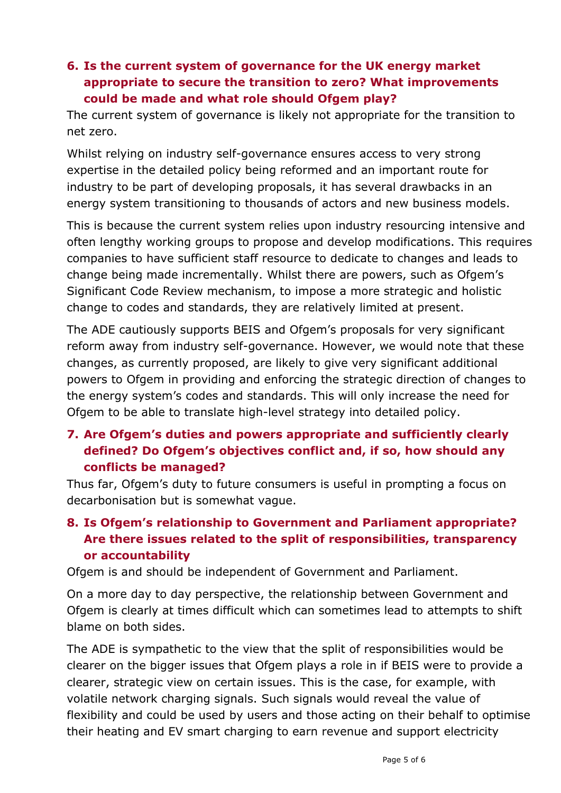### **6. Is the current system of governance for the UK energy market appropriate to secure the transition to zero? What improvements could be made and what role should Ofgem play?**

The current system of governance is likely not appropriate for the transition to net zero.

Whilst relying on industry self-governance ensures access to very strong expertise in the detailed policy being reformed and an important route for industry to be part of developing proposals, it has several drawbacks in an energy system transitioning to thousands of actors and new business models.

This is because the current system relies upon industry resourcing intensive and often lengthy working groups to propose and develop modifications. This requires companies to have sufficient staff resource to dedicate to changes and leads to change being made incrementally. Whilst there are powers, such as Ofgem's Significant Code Review mechanism, to impose a more strategic and holistic change to codes and standards, they are relatively limited at present.

The ADE cautiously supports BEIS and Ofgem's proposals for very significant reform away from industry self-governance. However, we would note that these changes, as currently proposed, are likely to give very significant additional powers to Ofgem in providing and enforcing the strategic direction of changes to the energy system's codes and standards. This will only increase the need for Ofgem to be able to translate high-level strategy into detailed policy.

# **7. Are Ofgem's duties and powers appropriate and sufficiently clearly defined? Do Ofgem's objectives conflict and, if so, how should any conflicts be managed?**

Thus far, Ofgem's duty to future consumers is useful in prompting a focus on decarbonisation but is somewhat vague.

# **8. Is Ofgem's relationship to Government and Parliament appropriate? Are there issues related to the split of responsibilities, transparency or accountability**

Ofgem is and should be independent of Government and Parliament.

On a more day to day perspective, the relationship between Government and Ofgem is clearly at times difficult which can sometimes lead to attempts to shift blame on both sides.

The ADE is sympathetic to the view that the split of responsibilities would be clearer on the bigger issues that Ofgem plays a role in if BEIS were to provide a clearer, strategic view on certain issues. This is the case, for example, with volatile network charging signals. Such signals would reveal the value of flexibility and could be used by users and those acting on their behalf to optimise their heating and EV smart charging to earn revenue and support electricity